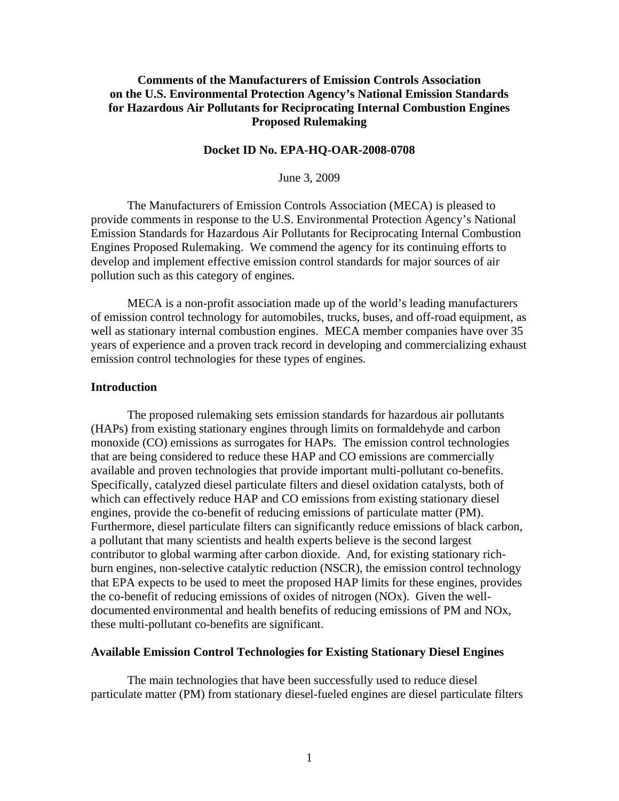# **Comments of the Manufacturers of Emission Controls Association on the U.S. Environmental Protection Agency's National Emission Standards for Hazardous Air Pollutants for Reciprocating Internal Combustion Engines Proposed Rulemaking**

## **Docket ID No. EPA-HQ-OAR-2008-0708**

June 3, 2009

The Manufacturers of Emission Controls Association (MECA) is pleased to provide comments in response to the U.S. Environmental Protection Agency's National Emission Standards for Hazardous Air Pollutants for Reciprocating Internal Combustion Engines Proposed Rulemaking. We commend the agency for its continuing efforts to develop and implement effective emission control standards for major sources of air pollution such as this category of engines.

MECA is a non-profit association made up of the world's leading manufacturers of emission control technology for automobiles, trucks, buses, and off-road equipment, as well as stationary internal combustion engines. MECA member companies have over 35 years of experience and a proven track record in developing and commercializing exhaust emission control technologies for these types of engines.

### **Introduction**

The proposed rulemaking sets emission standards for hazardous air pollutants (HAPs) from existing stationary engines through limits on formaldehyde and carbon monoxide (CO) emissions as surrogates for HAPs. The emission control technologies that are being considered to reduce these HAP and CO emissions are commercially available and proven technologies that provide important multi-pollutant co-benefits. Specifically, catalyzed diesel particulate filters and diesel oxidation catalysts, both of which can effectively reduce HAP and CO emissions from existing stationary diesel engines, provide the co-benefit of reducing emissions of particulate matter (PM). Furthermore, diesel particulate filters can significantly reduce emissions of black carbon, a pollutant that many scientists and health experts believe is the second largest contributor to global warming after carbon dioxide. And, for existing stationary richburn engines, non-selective catalytic reduction (NSCR), the emission control technology that EPA expects to be used to meet the proposed HAP limits for these engines, provides the co-benefit of reducing emissions of oxides of nitrogen (NOx). Given the welldocumented environmental and health benefits of reducing emissions of PM and NOx, these multi-pollutant co-benefits are significant.

### **Available Emission Control Technologies for Existing Stationary Diesel Engines**

The main technologies that have been successfully used to reduce diesel particulate matter (PM) from stationary diesel-fueled engines are diesel particulate filters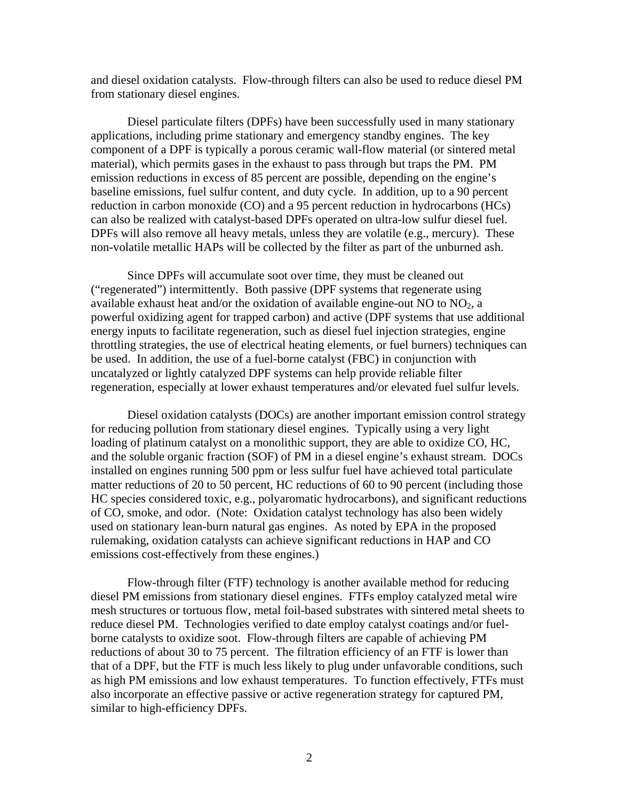and diesel oxidation catalysts. Flow-through filters can also be used to reduce diesel PM from stationary diesel engines.

 Diesel particulate filters (DPFs) have been successfully used in many stationary applications, including prime stationary and emergency standby engines. The key component of a DPF is typically a porous ceramic wall-flow material (or sintered metal material), which permits gases in the exhaust to pass through but traps the PM. PM emission reductions in excess of 85 percent are possible, depending on the engine's baseline emissions, fuel sulfur content, and duty cycle. In addition, up to a 90 percent reduction in carbon monoxide (CO) and a 95 percent reduction in hydrocarbons (HCs) can also be realized with catalyst-based DPFs operated on ultra-low sulfur diesel fuel. DPFs will also remove all heavy metals, unless they are volatile (e.g., mercury). These non-volatile metallic HAPs will be collected by the filter as part of the unburned ash.

 Since DPFs will accumulate soot over time, they must be cleaned out ("regenerated") intermittently. Both passive (DPF systems that regenerate using available exhaust heat and/or the oxidation of available engine-out NO to  $NO<sub>2</sub>$ , a powerful oxidizing agent for trapped carbon) and active (DPF systems that use additional energy inputs to facilitate regeneration, such as diesel fuel injection strategies, engine throttling strategies, the use of electrical heating elements, or fuel burners) techniques can be used. In addition, the use of a fuel-borne catalyst (FBC) in conjunction with uncatalyzed or lightly catalyzed DPF systems can help provide reliable filter regeneration, especially at lower exhaust temperatures and/or elevated fuel sulfur levels.

 Diesel oxidation catalysts (DOCs) are another important emission control strategy for reducing pollution from stationary diesel engines. Typically using a very light loading of platinum catalyst on a monolithic support, they are able to oxidize CO, HC, and the soluble organic fraction (SOF) of PM in a diesel engine's exhaust stream. DOCs installed on engines running 500 ppm or less sulfur fuel have achieved total particulate matter reductions of 20 to 50 percent, HC reductions of 60 to 90 percent (including those HC species considered toxic, e.g., polyaromatic hydrocarbons), and significant reductions of CO, smoke, and odor. (Note: Oxidation catalyst technology has also been widely used on stationary lean-burn natural gas engines. As noted by EPA in the proposed rulemaking, oxidation catalysts can achieve significant reductions in HAP and CO emissions cost-effectively from these engines.)

 Flow-through filter (FTF) technology is another available method for reducing diesel PM emissions from stationary diesel engines. FTFs employ catalyzed metal wire mesh structures or tortuous flow, metal foil-based substrates with sintered metal sheets to reduce diesel PM. Technologies verified to date employ catalyst coatings and/or fuelborne catalysts to oxidize soot. Flow-through filters are capable of achieving PM reductions of about 30 to 75 percent. The filtration efficiency of an FTF is lower than that of a DPF, but the FTF is much less likely to plug under unfavorable conditions, such as high PM emissions and low exhaust temperatures. To function effectively, FTFs must also incorporate an effective passive or active regeneration strategy for captured PM, similar to high-efficiency DPFs.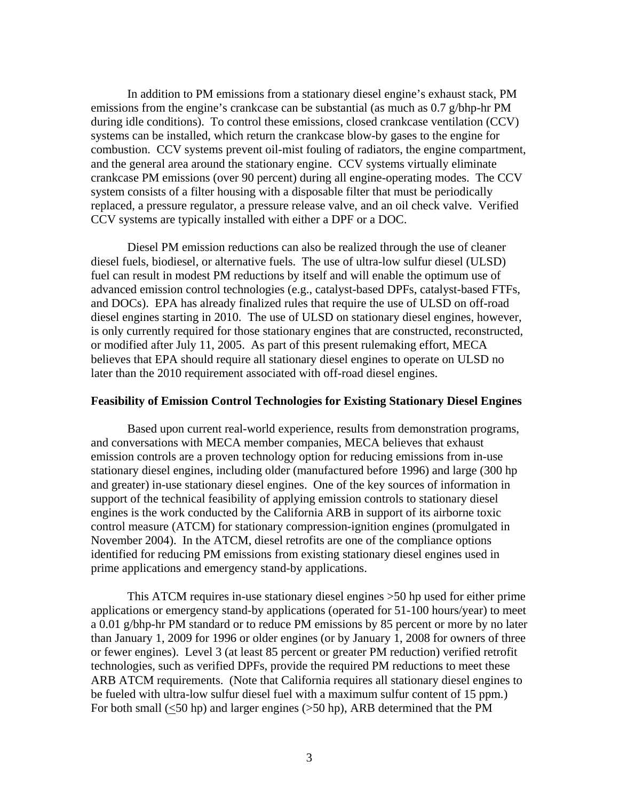In addition to PM emissions from a stationary diesel engine's exhaust stack, PM emissions from the engine's crankcase can be substantial (as much as 0.7 g/bhp-hr PM during idle conditions). To control these emissions, closed crankcase ventilation (CCV) systems can be installed, which return the crankcase blow-by gases to the engine for combustion. CCV systems prevent oil-mist fouling of radiators, the engine compartment, and the general area around the stationary engine. CCV systems virtually eliminate crankcase PM emissions (over 90 percent) during all engine-operating modes. The CCV system consists of a filter housing with a disposable filter that must be periodically replaced, a pressure regulator, a pressure release valve, and an oil check valve. Verified CCV systems are typically installed with either a DPF or a DOC.

 Diesel PM emission reductions can also be realized through the use of cleaner diesel fuels, biodiesel, or alternative fuels. The use of ultra-low sulfur diesel (ULSD) fuel can result in modest PM reductions by itself and will enable the optimum use of advanced emission control technologies (e.g., catalyst-based DPFs, catalyst-based FTFs, and DOCs). EPA has already finalized rules that require the use of ULSD on off-road diesel engines starting in 2010. The use of ULSD on stationary diesel engines, however, is only currently required for those stationary engines that are constructed, reconstructed, or modified after July 11, 2005. As part of this present rulemaking effort, MECA believes that EPA should require all stationary diesel engines to operate on ULSD no later than the 2010 requirement associated with off-road diesel engines.

#### **Feasibility of Emission Control Technologies for Existing Stationary Diesel Engines**

 Based upon current real-world experience, results from demonstration programs, and conversations with MECA member companies, MECA believes that exhaust emission controls are a proven technology option for reducing emissions from in-use stationary diesel engines, including older (manufactured before 1996) and large (300 hp and greater) in-use stationary diesel engines. One of the key sources of information in support of the technical feasibility of applying emission controls to stationary diesel engines is the work conducted by the California ARB in support of its airborne toxic control measure (ATCM) for stationary compression-ignition engines (promulgated in November 2004). In the ATCM, diesel retrofits are one of the compliance options identified for reducing PM emissions from existing stationary diesel engines used in prime applications and emergency stand-by applications.

 This ATCM requires in-use stationary diesel engines >50 hp used for either prime applications or emergency stand-by applications (operated for 51-100 hours/year) to meet a 0.01 g/bhp-hr PM standard or to reduce PM emissions by 85 percent or more by no later than January 1, 2009 for 1996 or older engines (or by January 1, 2008 for owners of three or fewer engines). Level 3 (at least 85 percent or greater PM reduction) verified retrofit technologies, such as verified DPFs, provide the required PM reductions to meet these ARB ATCM requirements. (Note that California requires all stationary diesel engines to be fueled with ultra-low sulfur diesel fuel with a maximum sulfur content of 15 ppm.) For both small (<50 hp) and larger engines (>50 hp), ARB determined that the PM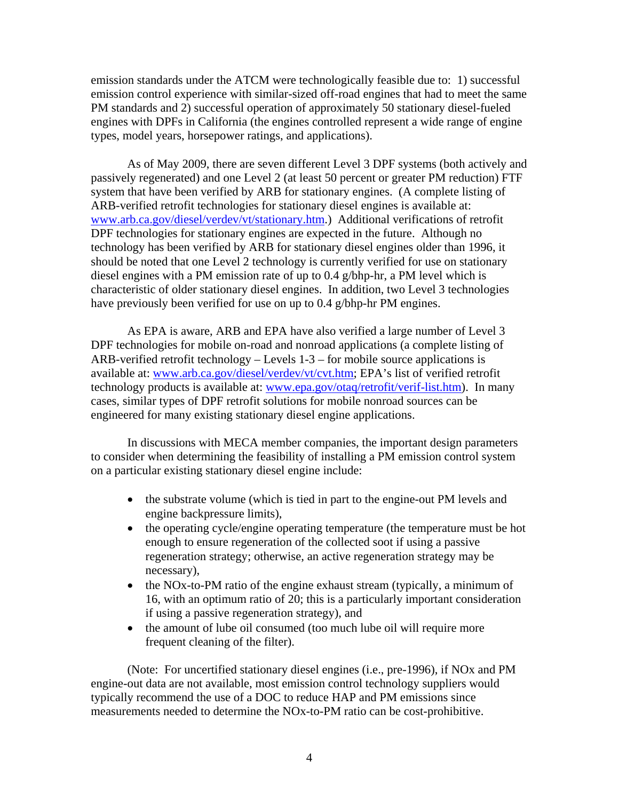emission standards under the ATCM were technologically feasible due to: 1) successful emission control experience with similar-sized off-road engines that had to meet the same PM standards and 2) successful operation of approximately 50 stationary diesel-fueled engines with DPFs in California (the engines controlled represent a wide range of engine types, model years, horsepower ratings, and applications).

 As of May 2009, there are seven different Level 3 DPF systems (both actively and passively regenerated) and one Level 2 (at least 50 percent or greater PM reduction) FTF system that have been verified by ARB for stationary engines. (A complete listing of ARB-verified retrofit technologies for stationary diesel engines is available at: [www.arb.ca.gov/diesel/verdev/vt/stationary.htm](http://www.arb.ca.gov/diesel/verdev/vt/stationary.htm).) Additional verifications of retrofit DPF technologies for stationary engines are expected in the future. Although no technology has been verified by ARB for stationary diesel engines older than 1996, it should be noted that one Level 2 technology is currently verified for use on stationary diesel engines with a PM emission rate of up to 0.4 g/bhp-hr, a PM level which is characteristic of older stationary diesel engines. In addition, two Level 3 technologies have previously been verified for use on up to 0.4 g/bhp-hr PM engines.

 As EPA is aware, ARB and EPA have also verified a large number of Level 3 DPF technologies for mobile on-road and nonroad applications (a complete listing of ARB-verified retrofit technology – Levels 1-3 – for mobile source applications is available at: [www.arb.ca.gov/diesel/verdev/vt/cvt.htm;](http://www.arb.ca.gov/diesel/verdev/vt/cvt.htm) EPA's list of verified retrofit technology products is available at: [www.epa.gov/otaq/retrofit/verif-list.htm\)](http://www.epa.gov/otaq/retrofit/verif-list.htm). In many cases, similar types of DPF retrofit solutions for mobile nonroad sources can be engineered for many existing stationary diesel engine applications.

 In discussions with MECA member companies, the important design parameters to consider when determining the feasibility of installing a PM emission control system on a particular existing stationary diesel engine include:

- the substrate volume (which is tied in part to the engine-out PM levels and engine backpressure limits),
- the operating cycle/engine operating temperature (the temperature must be hot enough to ensure regeneration of the collected soot if using a passive regeneration strategy; otherwise, an active regeneration strategy may be necessary),
- the NOx-to-PM ratio of the engine exhaust stream (typically, a minimum of 16, with an optimum ratio of 20; this is a particularly important consideration if using a passive regeneration strategy), and
- the amount of lube oil consumed (too much lube oil will require more frequent cleaning of the filter).

 (Note: For uncertified stationary diesel engines (i.e., pre-1996), if NOx and PM engine-out data are not available, most emission control technology suppliers would typically recommend the use of a DOC to reduce HAP and PM emissions since measurements needed to determine the NOx-to-PM ratio can be cost-prohibitive.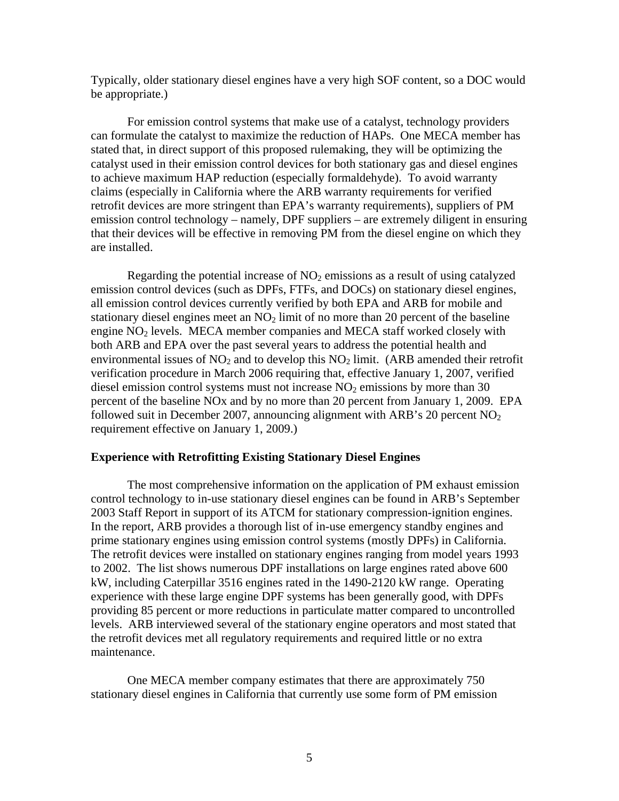Typically, older stationary diesel engines have a very high SOF content, so a DOC would be appropriate.)

 For emission control systems that make use of a catalyst, technology providers can formulate the catalyst to maximize the reduction of HAPs. One MECA member has stated that, in direct support of this proposed rulemaking, they will be optimizing the catalyst used in their emission control devices for both stationary gas and diesel engines to achieve maximum HAP reduction (especially formaldehyde). To avoid warranty claims (especially in California where the ARB warranty requirements for verified retrofit devices are more stringent than EPA's warranty requirements), suppliers of PM emission control technology – namely, DPF suppliers – are extremely diligent in ensuring that their devices will be effective in removing PM from the diesel engine on which they are installed.

Regarding the potential increase of  $NO<sub>2</sub>$  emissions as a result of using catalyzed emission control devices (such as DPFs, FTFs, and DOCs) on stationary diesel engines, all emission control devices currently verified by both EPA and ARB for mobile and stationary diesel engines meet an  $NO<sub>2</sub>$  limit of no more than 20 percent of the baseline engine  $NO<sub>2</sub>$  levels. MECA member companies and MECA staff worked closely with both ARB and EPA over the past several years to address the potential health and environmental issues of  $NO<sub>2</sub>$  and to develop this  $NO<sub>2</sub>$  limit. (ARB amended their retrofit verification procedure in March 2006 requiring that, effective January 1, 2007, verified diesel emission control systems must not increase  $NO<sub>2</sub>$  emissions by more than 30 percent of the baseline NOx and by no more than 20 percent from January 1, 2009. EPA followed suit in December 2007, announcing alignment with ARB's 20 percent  $NO<sub>2</sub>$ requirement effective on January 1, 2009.)

## **Experience with Retrofitting Existing Stationary Diesel Engines**

 The most comprehensive information on the application of PM exhaust emission control technology to in-use stationary diesel engines can be found in ARB's September 2003 Staff Report in support of its ATCM for stationary compression-ignition engines. In the report, ARB provides a thorough list of in-use emergency standby engines and prime stationary engines using emission control systems (mostly DPFs) in California. The retrofit devices were installed on stationary engines ranging from model years 1993 to 2002. The list shows numerous DPF installations on large engines rated above 600 kW, including Caterpillar 3516 engines rated in the 1490-2120 kW range. Operating experience with these large engine DPF systems has been generally good, with DPFs providing 85 percent or more reductions in particulate matter compared to uncontrolled levels. ARB interviewed several of the stationary engine operators and most stated that the retrofit devices met all regulatory requirements and required little or no extra maintenance.

 One MECA member company estimates that there are approximately 750 stationary diesel engines in California that currently use some form of PM emission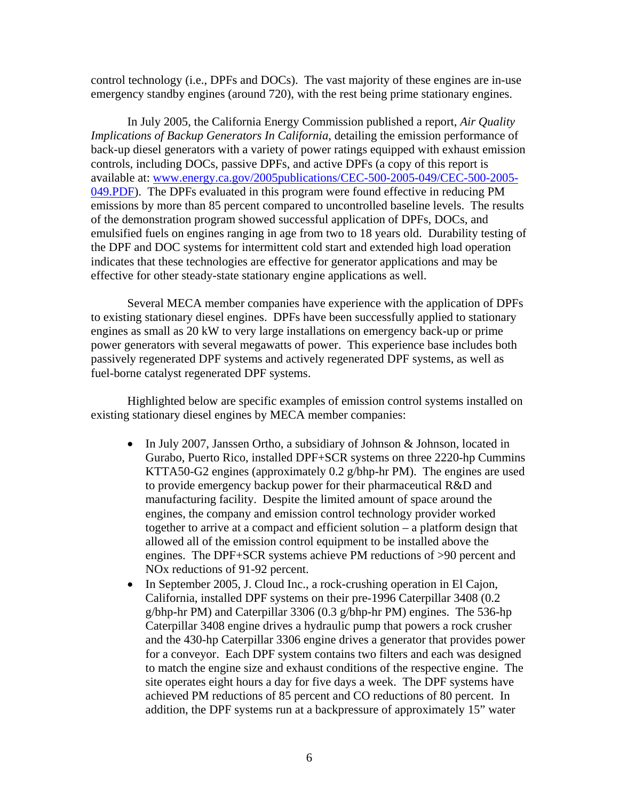control technology (i.e., DPFs and DOCs). The vast majority of these engines are in-use emergency standby engines (around 720), with the rest being prime stationary engines.

 In July 2005, the California Energy Commission published a report, *Air Quality Implications of Backup Generators In California*, detailing the emission performance of back-up diesel generators with a variety of power ratings equipped with exhaust emission controls, including DOCs, passive DPFs, and active DPFs (a copy of this report is available at: [www.energy.ca.gov/2005publications/CEC-500-2005-049/CEC-500-2005-](http://www.energy.ca.gov/2005publications/CEC-500-2005-049/CEC-500-2005-049.PDF) [049.PDF\)](http://www.energy.ca.gov/2005publications/CEC-500-2005-049/CEC-500-2005-049.PDF). The DPFs evaluated in this program were found effective in reducing PM emissions by more than 85 percent compared to uncontrolled baseline levels. The results of the demonstration program showed successful application of DPFs, DOCs, and emulsified fuels on engines ranging in age from two to 18 years old. Durability testing of the DPF and DOC systems for intermittent cold start and extended high load operation indicates that these technologies are effective for generator applications and may be effective for other steady-state stationary engine applications as well.

 Several MECA member companies have experience with the application of DPFs to existing stationary diesel engines. DPFs have been successfully applied to stationary engines as small as 20 kW to very large installations on emergency back-up or prime power generators with several megawatts of power. This experience base includes both passively regenerated DPF systems and actively regenerated DPF systems, as well as fuel-borne catalyst regenerated DPF systems.

 Highlighted below are specific examples of emission control systems installed on existing stationary diesel engines by MECA member companies:

- In July 2007, Janssen Ortho, a subsidiary of Johnson & Johnson, located in Gurabo, Puerto Rico, installed DPF+SCR systems on three 2220-hp Cummins KTTA50-G2 engines (approximately 0.2 g/bhp-hr PM). The engines are used to provide emergency backup power for their pharmaceutical R&D and manufacturing facility. Despite the limited amount of space around the engines, the company and emission control technology provider worked together to arrive at a compact and efficient solution – a platform design that allowed all of the emission control equipment to be installed above the engines. The DPF+SCR systems achieve PM reductions of >90 percent and NOx reductions of 91-92 percent.
- In September 2005, J. Cloud Inc., a rock-crushing operation in El Cajon, California, installed DPF systems on their pre-1996 Caterpillar 3408 (0.2 g/bhp-hr PM) and Caterpillar 3306 (0.3 g/bhp-hr PM) engines. The 536-hp Caterpillar 3408 engine drives a hydraulic pump that powers a rock crusher and the 430-hp Caterpillar 3306 engine drives a generator that provides power for a conveyor. Each DPF system contains two filters and each was designed to match the engine size and exhaust conditions of the respective engine. The site operates eight hours a day for five days a week. The DPF systems have achieved PM reductions of 85 percent and CO reductions of 80 percent. In addition, the DPF systems run at a backpressure of approximately 15" water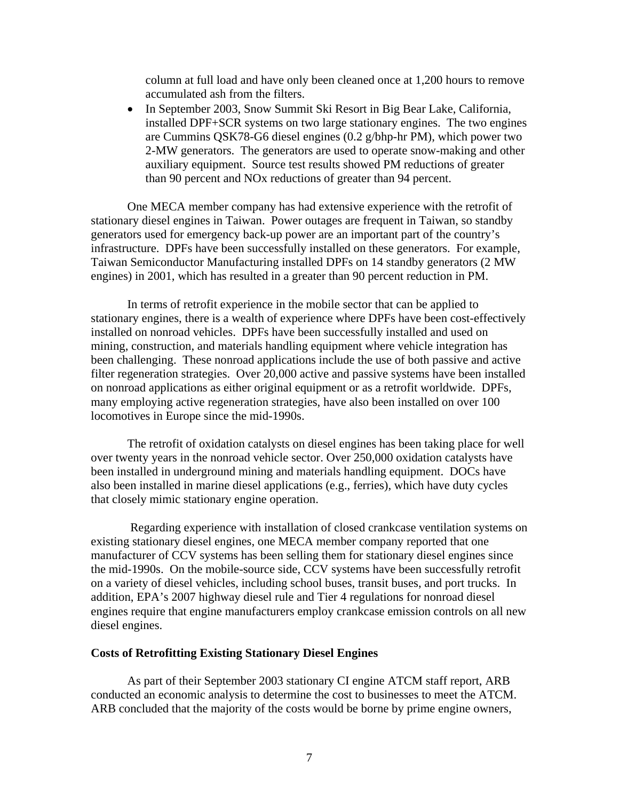column at full load and have only been cleaned once at 1,200 hours to remove accumulated ash from the filters.

• In September 2003, Snow Summit Ski Resort in Big Bear Lake, California, installed DPF+SCR systems on two large stationary engines. The two engines are Cummins QSK78-G6 diesel engines (0.2 g/bhp-hr PM), which power two 2-MW generators. The generators are used to operate snow-making and other auxiliary equipment. Source test results showed PM reductions of greater than 90 percent and NOx reductions of greater than 94 percent.

One MECA member company has had extensive experience with the retrofit of stationary diesel engines in Taiwan. Power outages are frequent in Taiwan, so standby generators used for emergency back-up power are an important part of the country's infrastructure. DPFs have been successfully installed on these generators. For example, Taiwan Semiconductor Manufacturing installed DPFs on 14 standby generators (2 MW engines) in 2001, which has resulted in a greater than 90 percent reduction in PM.

 In terms of retrofit experience in the mobile sector that can be applied to stationary engines, there is a wealth of experience where DPFs have been cost-effectively installed on nonroad vehicles. DPFs have been successfully installed and used on mining, construction, and materials handling equipment where vehicle integration has been challenging. These nonroad applications include the use of both passive and active filter regeneration strategies. Over 20,000 active and passive systems have been installed on nonroad applications as either original equipment or as a retrofit worldwide. DPFs, many employing active regeneration strategies, have also been installed on over 100 locomotives in Europe since the mid-1990s.

 The retrofit of oxidation catalysts on diesel engines has been taking place for well over twenty years in the nonroad vehicle sector. Over 250,000 oxidation catalysts have been installed in underground mining and materials handling equipment. DOCs have also been installed in marine diesel applications (e.g., ferries), which have duty cycles that closely mimic stationary engine operation.

 Regarding experience with installation of closed crankcase ventilation systems on existing stationary diesel engines, one MECA member company reported that one manufacturer of CCV systems has been selling them for stationary diesel engines since the mid-1990s. On the mobile-source side, CCV systems have been successfully retrofit on a variety of diesel vehicles, including school buses, transit buses, and port trucks. In addition, EPA's 2007 highway diesel rule and Tier 4 regulations for nonroad diesel engines require that engine manufacturers employ crankcase emission controls on all new diesel engines.

# **Costs of Retrofitting Existing Stationary Diesel Engines**

 As part of their September 2003 stationary CI engine ATCM staff report, ARB conducted an economic analysis to determine the cost to businesses to meet the ATCM. ARB concluded that the majority of the costs would be borne by prime engine owners,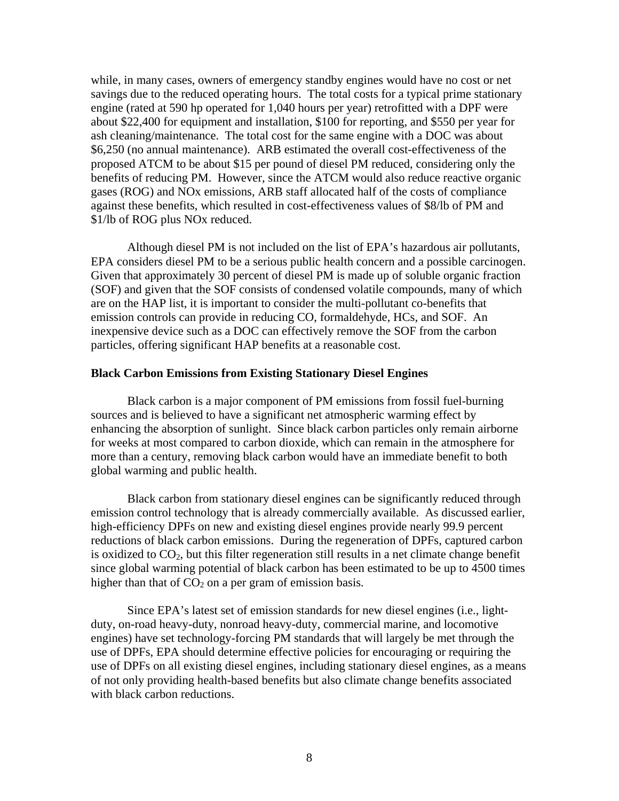while, in many cases, owners of emergency standby engines would have no cost or net savings due to the reduced operating hours. The total costs for a typical prime stationary engine (rated at 590 hp operated for 1,040 hours per year) retrofitted with a DPF were about \$22,400 for equipment and installation, \$100 for reporting, and \$550 per year for ash cleaning/maintenance. The total cost for the same engine with a DOC was about \$6,250 (no annual maintenance). ARB estimated the overall cost-effectiveness of the proposed ATCM to be about \$15 per pound of diesel PM reduced, considering only the benefits of reducing PM. However, since the ATCM would also reduce reactive organic gases (ROG) and NOx emissions, ARB staff allocated half of the costs of compliance against these benefits, which resulted in cost-effectiveness values of \$8/lb of PM and \$1/lb of ROG plus NOx reduced.

 Although diesel PM is not included on the list of EPA's hazardous air pollutants, EPA considers diesel PM to be a serious public health concern and a possible carcinogen. Given that approximately 30 percent of diesel PM is made up of soluble organic fraction (SOF) and given that the SOF consists of condensed volatile compounds, many of which are on the HAP list, it is important to consider the multi-pollutant co-benefits that emission controls can provide in reducing CO, formaldehyde, HCs, and SOF. An inexpensive device such as a DOC can effectively remove the SOF from the carbon particles, offering significant HAP benefits at a reasonable cost.

## **Black Carbon Emissions from Existing Stationary Diesel Engines**

Black carbon is a major component of PM emissions from fossil fuel-burning sources and is believed to have a significant net atmospheric warming effect by enhancing the absorption of sunlight. Since black carbon particles only remain airborne for weeks at most compared to carbon dioxide, which can remain in the atmosphere for more than a century, removing black carbon would have an immediate benefit to both global warming and public health.

 Black carbon from stationary diesel engines can be significantly reduced through emission control technology that is already commercially available. As discussed earlier, high-efficiency DPFs on new and existing diesel engines provide nearly 99.9 percent reductions of black carbon emissions. During the regeneration of DPFs, captured carbon is oxidized to  $CO<sub>2</sub>$ , but this filter regeneration still results in a net climate change benefit since global warming potential of black carbon has been estimated to be up to 4500 times higher than that of  $CO<sub>2</sub>$  on a per gram of emission basis.

Since EPA's latest set of emission standards for new diesel engines (i.e., lightduty, on-road heavy-duty, nonroad heavy-duty, commercial marine, and locomotive engines) have set technology-forcing PM standards that will largely be met through the use of DPFs, EPA should determine effective policies for encouraging or requiring the use of DPFs on all existing diesel engines, including stationary diesel engines, as a means of not only providing health-based benefits but also climate change benefits associated with black carbon reductions.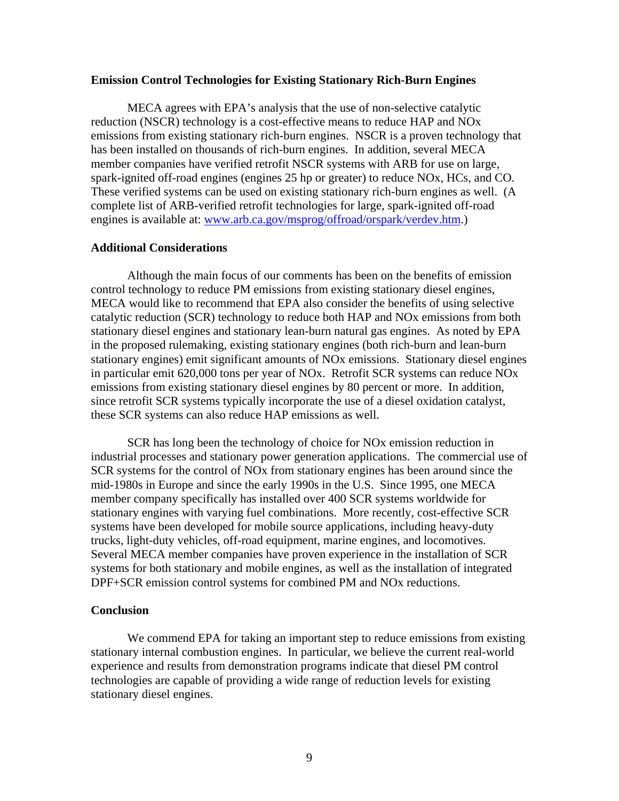### **Emission Control Technologies for Existing Stationary Rich-Burn Engines**

 MECA agrees with EPA's analysis that the use of non-selective catalytic reduction (NSCR) technology is a cost-effective means to reduce HAP and NOx emissions from existing stationary rich-burn engines. NSCR is a proven technology that has been installed on thousands of rich-burn engines. In addition, several MECA member companies have verified retrofit NSCR systems with ARB for use on large, spark-ignited off-road engines (engines 25 hp or greater) to reduce NOx, HCs, and CO. These verified systems can be used on existing stationary rich-burn engines as well. (A complete list of ARB-verified retrofit technologies for large, spark-ignited off-road engines is available at: [www.arb.ca.gov/msprog/offroad/orspark/verdev.htm.](http://www.arb.ca.gov/msprog/offroad/orspark/verdev.htm))

### **Additional Considerations**

Although the main focus of our comments has been on the benefits of emission control technology to reduce PM emissions from existing stationary diesel engines, MECA would like to recommend that EPA also consider the benefits of using selective catalytic reduction (SCR) technology to reduce both HAP and NOx emissions from both stationary diesel engines and stationary lean-burn natural gas engines. As noted by EPA in the proposed rulemaking, existing stationary engines (both rich-burn and lean-burn stationary engines) emit significant amounts of NOx emissions. Stationary diesel engines in particular emit 620,000 tons per year of NOx. Retrofit SCR systems can reduce NOx emissions from existing stationary diesel engines by 80 percent or more. In addition, since retrofit SCR systems typically incorporate the use of a diesel oxidation catalyst, these SCR systems can also reduce HAP emissions as well.

 SCR has long been the technology of choice for NOx emission reduction in industrial processes and stationary power generation applications. The commercial use of SCR systems for the control of NOx from stationary engines has been around since the mid-1980s in Europe and since the early 1990s in the U.S. Since 1995, one MECA member company specifically has installed over 400 SCR systems worldwide for stationary engines with varying fuel combinations. More recently, cost-effective SCR systems have been developed for mobile source applications, including heavy-duty trucks, light-duty vehicles, off-road equipment, marine engines, and locomotives. Several MECA member companies have proven experience in the installation of SCR systems for both stationary and mobile engines, as well as the installation of integrated DPF+SCR emission control systems for combined PM and NOx reductions.

### **Conclusion**

 We commend EPA for taking an important step to reduce emissions from existing stationary internal combustion engines. In particular, we believe the current real-world experience and results from demonstration programs indicate that diesel PM control technologies are capable of providing a wide range of reduction levels for existing stationary diesel engines.